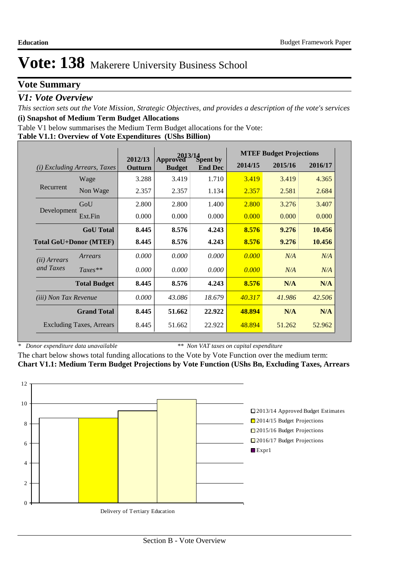### **Vote Summary**

### *V1: Vote Overview*

*This section sets out the Vote Mission, Strategic Objectives, and provides a description of the vote's services* **(i) Snapshot of Medium Term Budget Allocations** 

Table V1 below summarises the Medium Term Budget allocations for the Vote:

#### **Table V1.1: Overview of Vote Expenditures (UShs Billion)**

|                              |                                 | 2013/14            |                           |                            |         | <b>MTEF Budget Projections</b> |         |
|------------------------------|---------------------------------|--------------------|---------------------------|----------------------------|---------|--------------------------------|---------|
| (i)                          | <i>Excluding Arrears, Taxes</i> | 2012/13<br>Outturn | Approved<br><b>Budget</b> | Spent by<br><b>End Dec</b> | 2014/15 | 2015/16                        | 2016/17 |
|                              | Wage                            | 3.288              | 3.419                     | 1.710                      | 3.419   | 3.419                          | 4.365   |
| Recurrent                    | Non Wage                        | 2.357              | 2.357                     | 1.134                      | 2.357   | 2.581                          | 2.684   |
|                              | GoU                             | 2.800              | 2.800                     | 1.400                      | 2.800   | 3.276                          | 3.407   |
| Development                  | Ext.Fin                         | 0.000              | 0.000                     | 0.000                      | 0.000   | 0.000                          | 0.000   |
|                              | <b>GoU</b> Total                | 8.445              | 8.576                     | 4.243                      | 8.576   | 9.276                          | 10.456  |
|                              | <b>Total GoU+Donor (MTEF)</b>   | 8.445              | 8.576                     | 4.243                      | 8.576   | 9.276                          | 10.456  |
| ( <i>ii</i> ) Arrears        | Arrears                         | 0.000              | 0.000                     | 0.000                      | 0.000   | N/A                            | N/A     |
| and Taxes                    | $Taxes**$                       | 0.000              | 0.000                     | 0.000                      | 0.000   | N/A                            | N/A     |
|                              | <b>Total Budget</b>             | 8.445              | 8.576                     | 4.243                      | 8.576   | N/A                            | N/A     |
| <i>(iii)</i> Non Tax Revenue |                                 | 0.000              | 43.086                    | 18.679                     | 40.317  | 41.986                         | 42.506  |
|                              | <b>Grand Total</b>              | 8.445              | 51.662                    | 22.922                     | 48.894  | N/A                            | N/A     |
|                              | <b>Excluding Taxes, Arrears</b> | 8.445              | 51.662                    | 22.922                     | 48.894  | 51.262                         | 52.962  |

*\* Donor expenditure data unavailable*

*\*\* Non VAT taxes on capital expenditure*

The chart below shows total funding allocations to the Vote by Vote Function over the medium term: **Chart V1.1: Medium Term Budget Projections by Vote Function (UShs Bn, Excluding Taxes, Arrears**

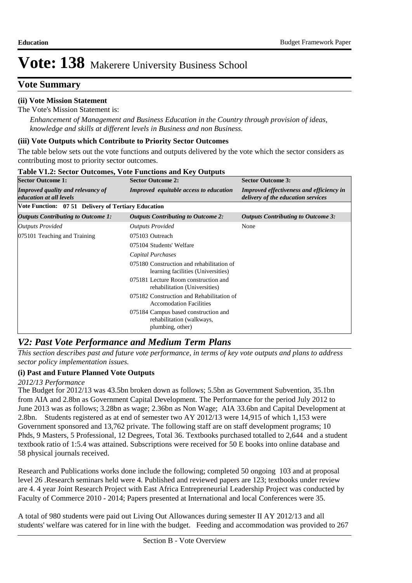### **Vote Summary**

### **(ii) Vote Mission Statement**

The Vote's Mission Statement is:

*Enhancement of Management and Business Education in the Country through provision of ideas, knowledge and skills at different levels in Business and non Business.*

#### **(iii) Vote Outputs which Contribute to Priority Sector Outcomes**

The table below sets out the vote functions and outputs delivered by the vote which the sector considers as contributing most to priority sector outcomes.

| <b>Sector Outcome 1:</b>                                            | <b>Sector Outcome 2:</b>                                                              | <b>Sector Outcome 3:</b>                                                              |
|---------------------------------------------------------------------|---------------------------------------------------------------------------------------|---------------------------------------------------------------------------------------|
| <b>Improved quality and relevancy of</b><br>education at all levels | <b>Improved</b> equitable access to education                                         | <b>Improved effectiveness and efficiency in</b><br>delivery of the education services |
| Vote Function: 07 51 Delivery of Tertiary Education                 |                                                                                       |                                                                                       |
| <b>Outputs Contributing to Outcome 1:</b>                           | <b>Outputs Contributing to Outcome 2:</b>                                             | <b>Outputs Contributing to Outcome 3:</b>                                             |
| <b>Outputs Provided</b>                                             | <b>Outputs Provided</b>                                                               | None                                                                                  |
| 075101 Teaching and Training                                        | 075103 Outreach                                                                       |                                                                                       |
|                                                                     | 075104 Students' Welfare                                                              |                                                                                       |
|                                                                     | Capital Purchases                                                                     |                                                                                       |
|                                                                     | 075180 Construction and rehabilitation of<br>learning facilities (Universities)       |                                                                                       |
|                                                                     | 075181 Lecture Room construction and<br>rehabilitation (Universities)                 |                                                                                       |
|                                                                     | 075182 Construction and Rehabilitation of<br><b>Accomodation Facilities</b>           |                                                                                       |
|                                                                     | 075184 Campus based construction and<br>rehabilitation (walkways,<br>plumbing, other) |                                                                                       |

#### **Table V1.2: Sector Outcomes, Vote Functions and Key Outputs**

## *V2: Past Vote Performance and Medium Term Plans*

*This section describes past and future vote performance, in terms of key vote outputs and plans to address sector policy implementation issues.* 

#### **(i) Past and Future Planned Vote Outputs**

#### *2012/13 Performance*

The Budget for 2012/13 was 43.5bn broken down as follows; 5.5bn as Government Subvention, 35.1bn from AIA and 2.8bn as Government Capital Development. The Performance for the period July 2012 to June 2013 was as follows; 3.28bn as wage; 2.36bn as Non Wage; AIA 33.6bn and Capital Development at 2.8bn. Students registered as at end of semester two AY 2012/13 were 14,915 of which 1,153 were Government sponsored and 13,762 private. The following staff are on staff development programs; 10 Phds, 9 Masters, 5 Professional, 12 Degrees, Total 36. Textbooks purchased totalled to 2,644 and a student textbook ratio of 1:5.4 was attained. Subscriptions were received for 50 E books into online database and 58 physical journals received.

Research and Publications works done include the following; completed 50 ongoing 103 and at proposal level 26 .Research seminars held were 4. Published and reviewed papers are 123; textbooks under review are 4. 4 year Joint Research Project with East Africa Entrepreneurial Leadership Project was conducted by Faculty of Commerce 2010 - 2014; Papers presented at International and local Conferences were 35.

A total of 980 students were paid out Living Out Allowances during semester II AY 2012/13 and all students' welfare was catered for in line with the budget. Feeding and accommodation was provided to 267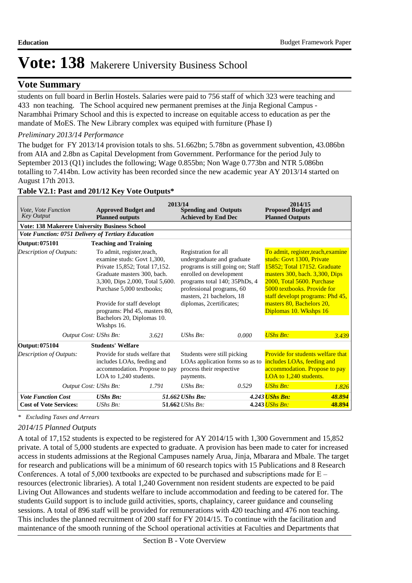### **Vote Summary**

students on full board in Berlin Hostels. Salaries were paid to 756 staff of which 323 were teaching and 433 non teaching. The School acquired new permanent premises at the Jinja Regional Campus - Narambhai Primary School and this is expected to increase on equitable access to education as per the mandate of MoES. The New Library complex was equiped with furniture (Phase I)

#### *Preliminary 2013/14 Performance*

The budget for FY 2013/14 provision totals to shs. 51.662bn; 5.78bn as government subvention, 43.086bn from AIA and 2.8bn as Capital Development from Government. Performance for the period July to September 2013 (Q1) includes the following; Wage 0.855bn; Non Wage 0.773bn and NTR 5.086bn totalling to 7.414bn. Low activity has been recorded since the new academic year AY 2013/14 started on August 17th 2013.

| Vote, Vote Function<br><b>Key Output</b>                  | <b>Approved Budget and</b><br><b>Planned outputs</b>                                                                                                                                                                                                                                                | 2013/14<br><b>Spending and Outputs</b><br><b>Achieved by End Dec</b> |                                                                                                                                                                                                      |                                   | 2014/15<br><b>Proposed Budget and</b><br><b>Planned Outputs</b>                                                                                                                                                                                       |                                  |
|-----------------------------------------------------------|-----------------------------------------------------------------------------------------------------------------------------------------------------------------------------------------------------------------------------------------------------------------------------------------------------|----------------------------------------------------------------------|------------------------------------------------------------------------------------------------------------------------------------------------------------------------------------------------------|-----------------------------------|-------------------------------------------------------------------------------------------------------------------------------------------------------------------------------------------------------------------------------------------------------|----------------------------------|
| <b>Vote: 138 Makerere University Business School</b>      |                                                                                                                                                                                                                                                                                                     |                                                                      |                                                                                                                                                                                                      |                                   |                                                                                                                                                                                                                                                       |                                  |
| <b>Vote Function: 0751 Delivery of Tertiary Education</b> |                                                                                                                                                                                                                                                                                                     |                                                                      |                                                                                                                                                                                                      |                                   |                                                                                                                                                                                                                                                       |                                  |
| Output: 075101                                            | <b>Teaching and Training</b>                                                                                                                                                                                                                                                                        |                                                                      |                                                                                                                                                                                                      |                                   |                                                                                                                                                                                                                                                       |                                  |
| Description of Outputs:                                   | To admit, register, teach,<br>examine studs: Govt 1,300,<br>Private 15,852; Total 17,152.<br>Graduate masters 300, bach.<br>3,300, Dips 2,000, Total 5,600.<br>Purchase 5,000 textbooks;<br>Provide for staff developt<br>programs: Phd 45, masters 80,<br>Bachelors 20, Diplomas 10.<br>Wkshps 16. |                                                                      | Registration for all<br>undergraduate and graduate<br>enrolled on development<br>programs total 140; 35PhDs, 4<br>professional programs, 60<br>masters, 21 bachelors, 18<br>diplomas, 2certificates; | programs is still going on; Staff | To admit, register, teach, examine<br>studs: Govt 1300, Private<br>15852: Total 17152. Graduate<br>masters 300, bach. 3,300, Dips<br>2000, Total 5600. Purchase<br>5000 textbooks. Provide for<br>masters 80, Bachelors 20,<br>Diplomas 10. Wkshps 16 | staff developt programs: Phd 45, |
| Output Cost: UShs Bn:                                     |                                                                                                                                                                                                                                                                                                     | 3.621                                                                | $UShs Bn$ :                                                                                                                                                                                          | 0.000                             | <b>UShs Bn:</b>                                                                                                                                                                                                                                       | 3.439                            |
| Output: 075104                                            | <b>Students' Welfare</b>                                                                                                                                                                                                                                                                            |                                                                      |                                                                                                                                                                                                      |                                   |                                                                                                                                                                                                                                                       |                                  |
| Description of Outputs:                                   | Provide for studs welfare that<br>includes LOAs, feeding and<br>accommodation. Propose to pay<br>LOA to 1,240 students.                                                                                                                                                                             |                                                                      | Students were still picking<br>process their respective<br>payments.                                                                                                                                 | LOAs application forms so as to   | <b>Provide for students welfare that</b><br>includes LOAs, feeding and<br>accommodation. Propose to pay<br>LOA to 1,240 students.                                                                                                                     |                                  |
| Output Cost: UShs Bn:                                     |                                                                                                                                                                                                                                                                                                     | 1.791                                                                | $UShs Bn$ :                                                                                                                                                                                          | 0.529                             | <b>UShs Bn:</b>                                                                                                                                                                                                                                       | 1.826                            |
| <b>Vote Function Cost</b>                                 | <b>UShs Bn:</b>                                                                                                                                                                                                                                                                                     |                                                                      | 51.662 UShs Bn:                                                                                                                                                                                      |                                   | 4.243 <i>UShs Bn:</i>                                                                                                                                                                                                                                 | 48.894                           |
| <b>Cost of Vote Services:</b>                             | $UShs Bn$ :                                                                                                                                                                                                                                                                                         |                                                                      | 51.662 UShs Bn:                                                                                                                                                                                      |                                   | 4.243 <i>UShs Bn:</i>                                                                                                                                                                                                                                 | 48.894                           |

#### **Table V2.1: Past and 201/12 Key Vote Outputs\***

*\* Excluding Taxes and Arrears*

#### *2014/15 Planned Outputs*

A total of 17,152 students is expected to be registered for AY 2014/15 with 1,300 Government and 15,852 private. A total of 5,000 students are expected to graduate. A provision has been made to cater for increased access in students admissions at the Regional Campuses namely Arua, Jinja, Mbarara and Mbale. The target for research and publications will be a minimum of 60 research topics with 15 Publications and 8 Research Conferences. A total of 5,000 textbooks are expected to be purchased and subscriptions made for  $E$ resources (electronic libraries). A total 1,240 Government non resident students are expected to be paid Living Out Allowances and students welfare to include accommodation and feeding to be catered for. The students Guild support is to include guild activities, sports, chaplaincy, career guidance and counseling sessions. A total of 896 staff will be provided for remunerations with 420 teaching and 476 non teaching. This includes the planned recruitment of 200 staff for FY 2014/15. To continue with the facilitation and maintenance of the smooth running of the School operational activities at Faculties and Departments that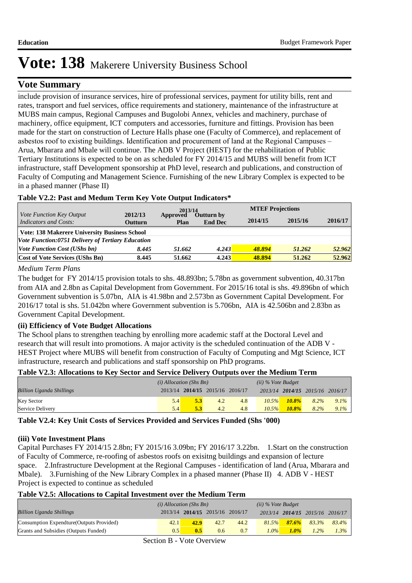### **Vote Summary**

include provision of insurance services, hire of professional services, payment for utility bills, rent and rates, transport and fuel services, office requirements and stationery, maintenance of the infrastructure at MUBS main campus, Regional Campuses and Bugolobi Annex, vehicles and machinery, purchase of machinery, office equipment, ICT computers and accessories, furniture and fittings. Provision has been made for the start on construction of Lecture Halls phase one (Faculty of Commerce), and replacement of asbestos roof to existing buildings. Identification and procurement of land at the Regional Campuses – Arua, Mbarara and Mbale will continue. The ADB V Project (HEST) for the rehabilitation of Public Tertiary Institutions is expected to be on as scheduled for FY 2014/15 and MUBS will benefit from ICT infrastructure, staff Development sponsorship at PhD level, research and publications, and construction of Faculty of Computing and Management Science. Furnishing of the new Library Complex is expected to be in a phased manner (Phase II)

#### **Table V2.2: Past and Medum Term Key Vote Output Indicators\***

|                                                          |                                                      | 2013/14          |                              |         | <b>MTEF Projections</b> |         |  |  |  |
|----------------------------------------------------------|------------------------------------------------------|------------------|------------------------------|---------|-------------------------|---------|--|--|--|
| <i>Vote Function Key Output</i><br>Indicators and Costs: | 2012/13<br>Outturn                                   | Approved<br>Plan | Outturn by<br><b>End Dec</b> | 2014/15 | 2015/16                 | 2016/17 |  |  |  |
|                                                          | <b>Vote: 138 Makerere University Business School</b> |                  |                              |         |                         |         |  |  |  |
| Vote Function:0751 Delivery of Tertiary Education        |                                                      |                  |                              |         |                         |         |  |  |  |
| <i>Vote Function Cost (UShs bn)</i>                      | 8.445                                                | 51.662           | 4.243                        | 48.894  | 51.262                  | 52.962  |  |  |  |
| <b>Cost of Vote Services (UShs Bn)</b>                   | 8.445                                                | 51.662           | 4.243                        | 48.894  | 51.262                  | 52.962  |  |  |  |

*Medium Term Plans*

The budget for FY 2014/15 provision totals to shs. 48.893bn; 5.78bn as government subvention, 40.317bn from AIA and 2.8bn as Capital Development from Government. For 2015/16 total is shs. 49.896bn of which Government subvention is 5.07bn, AIA is 41.98bn and 2.573bn as Government Capital Development. For 2016/17 total is shs. 51.042bn where Government subvention is 5.706bn, AIA is 42.506bn and 2.83bn as Government Capital Development.

#### **(ii) Efficiency of Vote Budget Allocations**

The School plans to strengthen teaching by enrolling more academic staff at the Doctoral Level and research that will result into promotions. A major activity is the scheduled continuation of the ADB V - HEST Project where MUBS will benefit from construction of Faculty of Computing and Mgt Science, ICT infrastructure, research and publications and staff sponsorship on PhD programs.

#### **Table V2.3: Allocations to Key Sector and Service Delivery Outputs over the Medium Term**

|                                 | $(i)$ Allocation (Shs Bn) |     |                                 |     | $(ii)$ % Vote Budget |          |                                 |         |
|---------------------------------|---------------------------|-----|---------------------------------|-----|----------------------|----------|---------------------------------|---------|
| <b>Billion Uganda Shillings</b> |                           |     | 2013/14 2014/15 2015/16 2016/17 |     |                      |          | 2013/14 2014/15 2015/16 2016/17 |         |
| <b>Key Sector</b>               | 5.4                       | 5.3 | 4.2                             | 4.8 | 10.5%                | $10.8\%$ | 8.2%                            | $9.1\%$ |
| Service Delivery                | 5.4                       | 5.3 | 4.2                             | 4.8 | $10.5\%$             | $10.8\%$ | $8.2\%$                         | $9.1\%$ |

**Table V2.4: Key Unit Costs of Services Provided and Services Funded (Shs '000)**

#### **(iii) Vote Investment Plans**

Capital Purchases FY 2014/15 2.8bn; FY 2015/16 3.09bn; FY 2016/17 3.22bn. 1.Start on the construction of Faculty of Commerce, re-roofing of asbestos roofs on exisitng buildings and expansion of lecture space. 2.Infrastructure Development at the Regional Campuses - identification of land (Arua, Mbarara and Mbale). 3.Furnishing of the New Library Complex in a phased manner (Phase II) 4. ADB V - HEST Project is expected to continue as scheduled

#### **Table V2.5: Allocations to Capital Investment over the Medium Term**

|                                           | $(i)$ Allocation (Shs Bn) |      |                                 |      | $(ii)$ % Vote Budget |       |                                 |         |
|-------------------------------------------|---------------------------|------|---------------------------------|------|----------------------|-------|---------------------------------|---------|
| <b>Billion Uganda Shillings</b>           |                           |      | 2013/14 2014/15 2015/16 2016/17 |      |                      |       | 2013/14 2014/15 2015/16 2016/17 |         |
| Consumption Expendture (Outputs Provided) | 42.1                      | 42.9 | 42.7                            | 44.2 | 81.5%                | 87.6% | 83.3%                           | 83.4%   |
| Grants and Subsidies (Outputs Funded)     | 0.5                       | 0.5  | 0.6                             | 0.7  | $1.0\%$              | 1.0%  | $1.2\%$                         | $1.3\%$ |

Section B - Vote Overview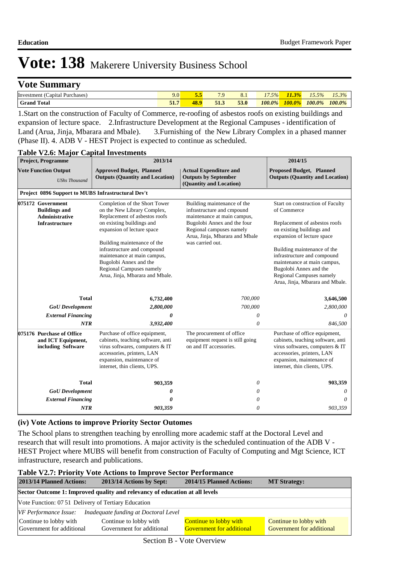### **Vote Summary**

| $\sim$<br>Investment<br>Capital<br>Purchases | 7.U     | $\overline{\phantom{a}}$<br><b><i>Page</i></b> | $\overline{ }$ $\overline{ }$ | 8.1  | $\overline{\phantom{a}}$<br>5% | $\triangle$ $\triangle$<br>m | $\overline{\phantom{0}}$<br>5% | 15, 20/<br>1 J.J 70 |
|----------------------------------------------|---------|------------------------------------------------|-------------------------------|------|--------------------------------|------------------------------|--------------------------------|---------------------|
| Total<br>Grand                               | $F - 1$ | 1O                                             | 51.3                          | 53.0 | $100.0\%$                      | 100.0%<br>70.                | 100.0%                         | 100.0%              |

1.Start on the construction of Faculty of Commerce, re-roofing of asbestos roofs on existing buildings and expansion of lecture space. 2.Infrastructure Development at the Regional Campuses - identification of Land (Arua, Jinja, Mbarara and Mbale). 3.Furnishing of the New Library Complex in a phased manner (Phase II). 4. ADB V - HEST Project is expected to continue as scheduled.

| <b>Project, Programme</b>                                                                   | 2013/14                                                                                                                                                                                                                                                                                                                                        |                                                                                                                                                                                                           |                                                                                                                                                                                                                                                                                                                                   |  |
|---------------------------------------------------------------------------------------------|------------------------------------------------------------------------------------------------------------------------------------------------------------------------------------------------------------------------------------------------------------------------------------------------------------------------------------------------|-----------------------------------------------------------------------------------------------------------------------------------------------------------------------------------------------------------|-----------------------------------------------------------------------------------------------------------------------------------------------------------------------------------------------------------------------------------------------------------------------------------------------------------------------------------|--|
| <b>Vote Function Output</b><br><b>UShs Thousand</b>                                         | <b>Approved Budget, Planned</b><br><b>Outputs (Quantity and Location)</b>                                                                                                                                                                                                                                                                      | <b>Actual Expenditure and</b><br><b>Outputs by September</b><br>(Quantity and Location)                                                                                                                   | <b>Proposed Budget, Planned</b><br><b>Outputs (Quantity and Location)</b>                                                                                                                                                                                                                                                         |  |
| Project 0896 Support to MUBS Infrastructural Dev't                                          |                                                                                                                                                                                                                                                                                                                                                |                                                                                                                                                                                                           |                                                                                                                                                                                                                                                                                                                                   |  |
| 075172 Government<br><b>Buildings and</b><br><b>Administrative</b><br><b>Infrastructure</b> | Completion of the Short Tower<br>on the New Library Complex,<br>Replacement of asbestos roofs<br>on existing buildings and<br>expansion of lecture space<br>Building maintenance of the<br>infrastructure and compound<br>maintenance at main campus,<br>Bugolobi Annex and the<br>Regional Campuses namely<br>Arua, Jinja, Mbarara and Mbale. | Building maintenance of the<br>infrastructure and cmpound<br>maintenance at main campus,<br>Bugolobi Annex and the four<br>Regional campuses namely<br>Arua, Jinja, Mbarara and Mbale<br>was carried out. | Start on construction of Faculty<br>of Commerce<br>Replacement of asbestos roofs<br>on existing buildings and<br>expansion of lecture space<br>Building maintenance of the<br>infrastructure and compound<br>maintenance at main campus,<br>Bugolobi Annex and the<br>Regional Campuses namely<br>Arua, Jinja, Mbarara and Mbale. |  |
| <b>Total</b>                                                                                | 6,732,400                                                                                                                                                                                                                                                                                                                                      | 700,000                                                                                                                                                                                                   | 3,646,500                                                                                                                                                                                                                                                                                                                         |  |
| <b>GoU</b> Development                                                                      | 2,800,000                                                                                                                                                                                                                                                                                                                                      | 700,000                                                                                                                                                                                                   | 2,800,000                                                                                                                                                                                                                                                                                                                         |  |
| <b>External Financing</b>                                                                   | 0                                                                                                                                                                                                                                                                                                                                              | $\theta$                                                                                                                                                                                                  | $\theta$                                                                                                                                                                                                                                                                                                                          |  |
| NTR                                                                                         | 3,932,400                                                                                                                                                                                                                                                                                                                                      | 0                                                                                                                                                                                                         | 846,500                                                                                                                                                                                                                                                                                                                           |  |
| 075176 Purchase of Office<br>and ICT Equipment,<br>including Software                       | Purchase of office equipment,<br>cabinets, teaching software, anti<br>virus softwares, computers & IT<br>accessories, printers, LAN<br>expansion, maintenance of<br>internet, thin clients, UPS.                                                                                                                                               | The procurement of office<br>equipment request is still going<br>on and IT accessories.                                                                                                                   | Purchase of office equipment,<br>cabinets, teaching software, anti<br>virus softwares, computers & IT<br>accessories, printers, LAN<br>expansion, maintenance of<br>internet, thin clients, UPS.                                                                                                                                  |  |
| <b>Total</b>                                                                                | 903,359                                                                                                                                                                                                                                                                                                                                        | 0                                                                                                                                                                                                         | 903,359                                                                                                                                                                                                                                                                                                                           |  |
| <b>GoU</b> Development                                                                      | 0                                                                                                                                                                                                                                                                                                                                              | 0                                                                                                                                                                                                         | 0                                                                                                                                                                                                                                                                                                                                 |  |
| <b>External Financing</b><br><b>NTR</b>                                                     | 0<br>903,359                                                                                                                                                                                                                                                                                                                                   | 0<br>$\theta$                                                                                                                                                                                             | 0<br>903,359                                                                                                                                                                                                                                                                                                                      |  |

#### **Table V2.6: Major Capital Investments**

#### **(iv) Vote Actions to improve Priority Sector Outomes**

The School plans to strengthen teaching by enrolling more academic staff at the Doctoral Level and research that will result into promotions. A major activity is the scheduled continuation of the ADB V - HEST Project where MUBS will benefit from construction of Faculty of Computing and Mgt Science, ICT infrastructure, research and publications.

#### **Table V2.7: Priority Vote Actions to Improve Sector Performance 2013/14 Planned Actions: 2013/14 Actions by Sept: 2014/15 Planned Actions: MT Strategy: Sector Outcome 1: Improved quality and relevancy of education at all levels** Vote Function: 07 51 Delivery of Tertiary Education *VF Performance Issue: Inadequate funding at Doctoral Level* Continue to lobby with Government for additional Continue to lobby with Government for additional Continue to lobby with Government for additional Continue to lobby with Government for additional

Section B - Vote Overview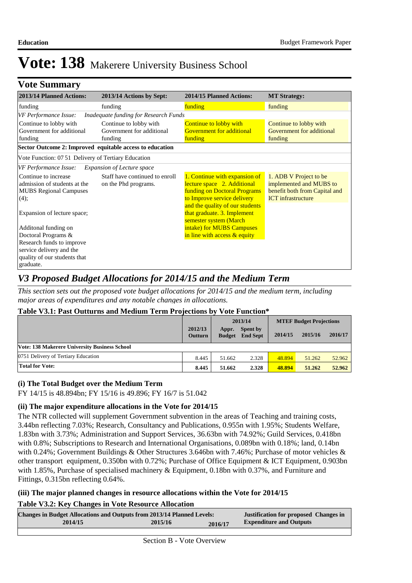| <b>Vote Summary</b>                                                                                                          |                                                                |                                                                                                                                                                                                                         |                                                                                                                 |
|------------------------------------------------------------------------------------------------------------------------------|----------------------------------------------------------------|-------------------------------------------------------------------------------------------------------------------------------------------------------------------------------------------------------------------------|-----------------------------------------------------------------------------------------------------------------|
| 2013/14 Planned Actions:                                                                                                     | 2013/14 Actions by Sept:                                       | 2014/15 Planned Actions:                                                                                                                                                                                                | <b>MT Strategy:</b>                                                                                             |
| funding                                                                                                                      | funding                                                        | funding                                                                                                                                                                                                                 | funding                                                                                                         |
| VF Performance Issue:                                                                                                        | Inadequate funding for Research Funds                          |                                                                                                                                                                                                                         |                                                                                                                 |
| Continue to lobby with<br>Government for additional<br>funding                                                               | Continue to lobby with<br>Government for additional<br>funding | Continue to lobby with<br><b>Government for additional</b><br><b>funding</b>                                                                                                                                            | Continue to lobby with<br>Government for additional<br>funding                                                  |
| Sector Outcome 2: Improved equitable access to education                                                                     |                                                                |                                                                                                                                                                                                                         |                                                                                                                 |
| Vote Function: 07 51 Delivery of Tertiary Education                                                                          |                                                                |                                                                                                                                                                                                                         |                                                                                                                 |
| VF Performance Issue:                                                                                                        | <b>Expansion of Lecture space</b>                              |                                                                                                                                                                                                                         |                                                                                                                 |
| Continue to increase<br>admission of students at the<br><b>MUBS Regional Campuses</b><br>(4);<br>Expansion of lecture space; | Staff have continued to enroll<br>on the Phd programs.         | 1. Continue with expansion of<br>lecture space 2. Additional<br>funding on Doctoral Programs<br>to Improve service delivery<br>and the quality of our students<br>that graduate. 3. Implement<br>semester system (March | 1. ADB V Project to be<br>implemented and MUBS to<br>benefit both from Capital and<br><b>ICT</b> infrastructure |
| Additonal funding on<br>Doctoral Programs &                                                                                  |                                                                | intake) for MUBS Campuses<br>in line with access & equity                                                                                                                                                               |                                                                                                                 |
| Research funds to improve<br>service delivery and the<br>quality of our students that<br>graduate.                           |                                                                |                                                                                                                                                                                                                         |                                                                                                                 |

# *V3 Proposed Budget Allocations for 2014/15 and the Medium Term*

*This section sets out the proposed vote budget allocations for 2014/15 and the medium term, including major areas of expenditures and any notable changes in allocations.* 

#### **Table V3.1: Past Outturns and Medium Term Projections by Vote Function\***

|                                               |                           | 2013/14                |                                    |         | <b>MTEF Budget Projections</b> |         |
|-----------------------------------------------|---------------------------|------------------------|------------------------------------|---------|--------------------------------|---------|
|                                               | 2012/13<br><b>Outturn</b> | Appr.<br><b>Budget</b> | <b>Spent by</b><br><b>End Sept</b> | 2014/15 | 2015/16                        | 2016/17 |
| Vote: 138 Makerere University Business School |                           |                        |                                    |         |                                |         |
| 0751 Delivery of Tertiary Education           | 8.445                     | 51.662                 | 2.328                              | 48.894  | 51.262                         | 52.962  |
| <b>Total for Vote:</b>                        | 8.445                     | 51.662                 | 2.328                              | 48.894  | 51.262                         | 52.962  |

#### **(i) The Total Budget over the Medium Term**

FY 14/15 is 48.894bn; FY 15/16 is 49.896; FY 16/7 is 51.042

#### **(ii) The major expenditure allocations in the Vote for 2014/15**

The NTR collected will supplement Government subvention in the areas of Teaching and training costs, 3.44bn reflecting 7.03%; Research, Consultancy and Publications, 0.955n with 1.95%; Students Welfare, 1.83bn with 3.73%; Administration and Support Services, 36.63bn with 74.92%; Guild Services, 0.418bn with 0.8%; Subscriptions to Research and International Organisations, 0.089bn with 0.18%; land, 0.14bn with 0.24%; Government Buildings & Other Structures 3.646bn with 7.46%; Purchase of motor vehicles & other transport equipment, 0.350bn with 0.72%; Purchase of Office Equipment & ICT Equipment, 0.903bn with 1.85%, Purchase of specialised machinery & Equipment, 0.18bn with 0.37%, and Furniture and Fittings, 0.315bn reflecting 0.64%.

#### **(iii) The major planned changes in resource allocations within the Vote for 2014/15**

#### **Table V3.2: Key Changes in Vote Resource Allocation**

| <b>Changes in Budget Allocations and Outputs from 2013/14 Planned Levels:</b> |         |         | <b>Justification for proposed Changes in</b> |
|-------------------------------------------------------------------------------|---------|---------|----------------------------------------------|
| 2014/15                                                                       | 2015/16 | 2016/17 | <b>Expenditure and Outputs</b>               |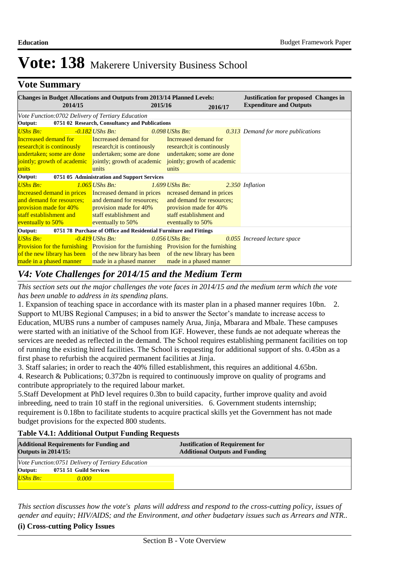### **Vote Summary**

| <b>Changes in Budget Allocations and Outputs from 2013/14 Planned Levels:</b><br>2014/15      |                                                                   | 2015/16                     |         | <b>Justification for proposed Changes in</b><br><b>Expenditure and Outputs</b> |
|-----------------------------------------------------------------------------------------------|-------------------------------------------------------------------|-----------------------------|---------|--------------------------------------------------------------------------------|
|                                                                                               |                                                                   |                             | 2016/17 |                                                                                |
| Vote Function:0702 Delivery of Tertiary Education                                             |                                                                   |                             |         |                                                                                |
| Output:                                                                                       | 0751 02 Research, Consultancy and Publications                    |                             |         |                                                                                |
| <b>UShs Bn:</b>                                                                               | -0.182 UShs Bn:                                                   | $0.098$ UShs Bn:            |         | <b>0.313</b> Demand for more publications                                      |
| <b>Incrreased demand for</b>                                                                  | Incrreased demand for                                             | Incrreased demand for       |         |                                                                                |
| research; it is continually research; it is continually research; it is continually           |                                                                   |                             |         |                                                                                |
| undertaken; some are done undertaken; some are done undertaken; some are done                 |                                                                   |                             |         |                                                                                |
| jointly; growth of academic jointly; growth of academic                                       |                                                                   | jointly; growth of academic |         |                                                                                |
| units                                                                                         | units                                                             | units                       |         |                                                                                |
| Output:                                                                                       | 0751 05 Administration and Support Services                       |                             |         |                                                                                |
| <b>UShs Bn:</b>                                                                               | $1.065$ UShs Bn:                                                  | $1.699$ UShs Bn:            |         | 2.350 Inflation                                                                |
| Increased demand in prices Increased demand in prices ncreased demand in prices               |                                                                   |                             |         |                                                                                |
| and demand for resources; and demand for resources;                                           |                                                                   | and demand for resources;   |         |                                                                                |
| provision made for 40% provision made for 40%                                                 |                                                                   | provision made for 40%      |         |                                                                                |
| staff establishment and                                                                       | staff establishment and                                           | staff establishment and     |         |                                                                                |
| eventually to 50%                                                                             | eventually to 50%                                                 | eventually to 50%           |         |                                                                                |
| Output:                                                                                       | 0751 78 Purchase of Office and Residential Furniture and Fittings |                             |         |                                                                                |
| <b>UShs Bn:</b>                                                                               | $-0.419$ UShs Bn:                                                 | $0.056$ UShs Bn:            |         | 0.055 Increaed lecture space                                                   |
| <b>Provision for the furnishing</b> Provision for the furnishing Provision for the furnishing |                                                                   |                             |         |                                                                                |
| of the new library has been of the new library has been of the new library has been           |                                                                   |                             |         |                                                                                |
| made in a phased manner                                                                       | made in a phased manner                                           | made in a phased manner     |         |                                                                                |

# *V4: Vote Challenges for 2014/15 and the Medium Term*

*This section sets out the major challenges the vote faces in 2014/15 and the medium term which the vote has been unable to address in its spending plans.*

1. Expansion of teaching space in accordance with its master plan in a phased manner requires 10bn. 2. Support to MUBS Regional Campuses; in a bid to answer the Sector's mandate to increase access to Education, MUBS runs a number of campuses namely Arua, Jinja, Mbarara and Mbale. These campuses were started with an initiative of the School from IGF. However, these funds ae not adequate whereas the services are needed as reflected in the demand. The School requires establishing permanent facilities on top of running the existing hired facilities. The School is requesting for additional support of shs. 0.45bn as a first phase to refurbish the acquired permanent facilities at Jinja.

3. Staff salaries; in order to reach the 40% filled establishment, this requires an additional 4.65bn.

4. Research & Publications; 0.372bn is required to continuously improve on quality of programs and contribute appropriately to the required labour market.

5.Staff Development at PhD level requires 0.3bn to build capacity, further improve quality and avoid inbreeding, need to train 10 staff in the regional universities. 6. Government students internship; requirement is 0.18bn to facilitate students to acquire practical skills yet the Government has not made budget provisions for the expected 800 students.

#### **Table V4.1: Additional Output Funding Requests**

| <b>Additional Requirements for Funding and</b><br><b>Outputs in 2014/15:</b> | <b>Justification of Requirement for</b><br><b>Additional Outputs and Funding</b> |
|------------------------------------------------------------------------------|----------------------------------------------------------------------------------|
| Vote Function:0751 Delivery of Tertiary Education                            |                                                                                  |
| Output:<br>0751 51 Guild Services                                            |                                                                                  |
| <b>UShs Bn:</b><br>0.000                                                     |                                                                                  |

*This section discusses how the vote's plans will address and respond to the cross-cutting policy, issues of gender and equity; HIV/AIDS; and the Environment, and other budgetary issues such as Arrears and NTR..* 

#### **(i) Cross-cutting Policy Issues**